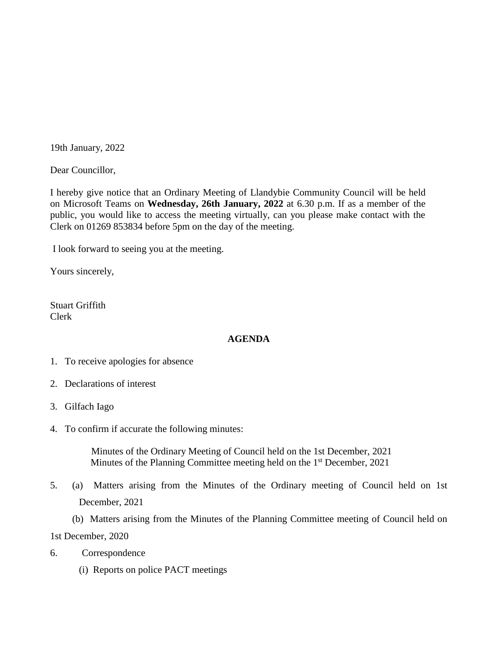19th January, 2022

Dear Councillor,

I hereby give notice that an Ordinary Meeting of Llandybie Community Council will be held on Microsoft Teams on **Wednesday, 26th January, 2022** at 6.30 p.m. If as a member of the public, you would like to access the meeting virtually, can you please make contact with the Clerk on 01269 853834 before 5pm on the day of the meeting.

I look forward to seeing you at the meeting.

Yours sincerely,

Stuart Griffith Clerk

## **AGENDA**

- 1. To receive apologies for absence
- 2. Declarations of interest
- 3. Gilfach Iago
- 4. To confirm if accurate the following minutes:

 Minutes of the Ordinary Meeting of Council held on the 1st December, 2021 Minutes of the Planning Committee meeting held on the 1<sup>st</sup> December, 2021

5. (a) Matters arising from the Minutes of the Ordinary meeting of Council held on 1st December, 2021

 (b) Matters arising from the Minutes of the Planning Committee meeting of Council held on 1st December, 2020

- 6. Correspondence
	- (i) Reports on police PACT meetings